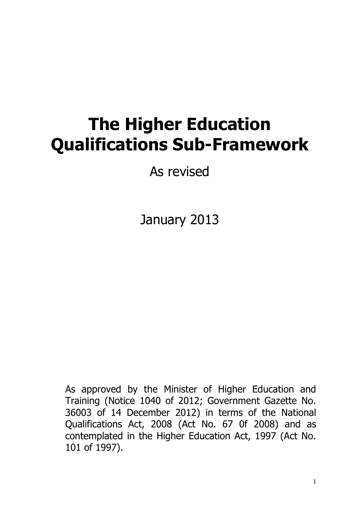# **The Higher Education Qualifications Sub-Framework**

As revised

January 2013

As approved by the Minister of Higher Education and Training (Notice 1040 of 2012; Government Gazette No. 36003 of 14 December 2012) in terms of the National Qualifications Act, 2008 (Act No. 67 0f 2008) and as contemplated in the Higher Education Act, 1997 (Act No. 101 of 1997).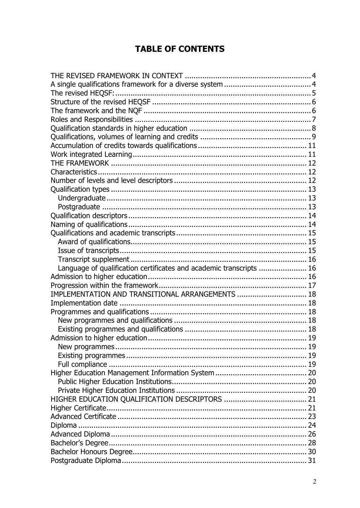# **TABLE OF CONTENTS**

| Language of qualification certificates and academic transcripts  16 |  |
|---------------------------------------------------------------------|--|
|                                                                     |  |
|                                                                     |  |
| IMPLEMENTATION AND TRANSITIONAL ARRANGEMENTS  18                    |  |
|                                                                     |  |
|                                                                     |  |
|                                                                     |  |
|                                                                     |  |
|                                                                     |  |
|                                                                     |  |
|                                                                     |  |
|                                                                     |  |
|                                                                     |  |
|                                                                     |  |
|                                                                     |  |
|                                                                     |  |
|                                                                     |  |
|                                                                     |  |
|                                                                     |  |
|                                                                     |  |
|                                                                     |  |
|                                                                     |  |
|                                                                     |  |
|                                                                     |  |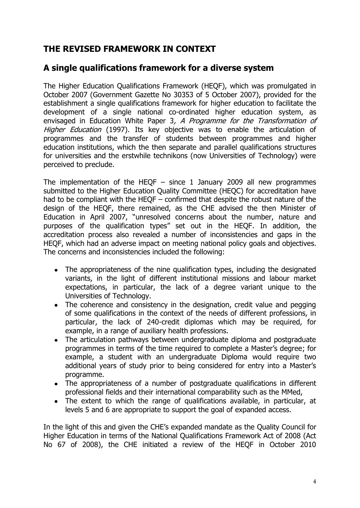# <span id="page-3-0"></span>**THE REVISED FRAMEWORK IN CONTEXT**

# <span id="page-3-1"></span>**A single qualifications framework for a diverse system**

The Higher Education Qualifications Framework (HEQF), which was promulgated in October 2007 (Government Gazette No 30353 of 5 October 2007), provided for the establishment a single qualifications framework for higher education to facilitate the development of a single national co-ordinated higher education system, as envisaged in Education White Paper 3, A Programme for the Transformation of Higher Education (1997). Its key objective was to enable the articulation of programmes and the transfer of students between programmes and higher education institutions, which the then separate and parallel qualifications structures for universities and the erstwhile technikons (now Universities of Technology) were perceived to preclude.

The implementation of the HEQF  $-$  since 1 January 2009 all new programmes submitted to the Higher Education Quality Committee (HEQC) for accreditation have had to be compliant with the HEQF – confirmed that despite the robust nature of the design of the HEQF, there remained, as the CHE advised the then Minister of Education in April 2007, "unresolved concerns about the number, nature and purposes of the qualification types" set out in the HEQF. In addition, the accreditation process also revealed a number of inconsistencies and gaps in the HEQF, which had an adverse impact on meeting national policy goals and objectives. The concerns and inconsistencies included the following:

- The appropriateness of the nine qualification types, including the designated  $\bullet$ variants, in the light of different institutional missions and labour market expectations, in particular, the lack of a degree variant unique to the Universities of Technology.
- The coherence and consistency in the designation, credit value and pegging of some qualifications in the context of the needs of different professions, in particular, the lack of 240-credit diplomas which may be required, for example, in a range of auxiliary health professions.
- The articulation pathways between undergraduate diploma and postgraduate  $\bullet$ programmes in terms of the time required to complete a Master's degree; for example, a student with an undergraduate Diploma would require two additional years of study prior to being considered for entry into a Master's programme.
- The appropriateness of a number of postgraduate qualifications in different professional fields and their international comparability such as the MMed,
- The extent to which the range of qualifications available, in particular, at levels 5 and 6 are appropriate to support the goal of expanded access.

In the light of this and given the CHE's expanded mandate as the Quality Council for Higher Education in terms of the National Qualifications Framework Act of 2008 (Act No 67 of 2008), the CHE initiated a review of the HEQF in October 2010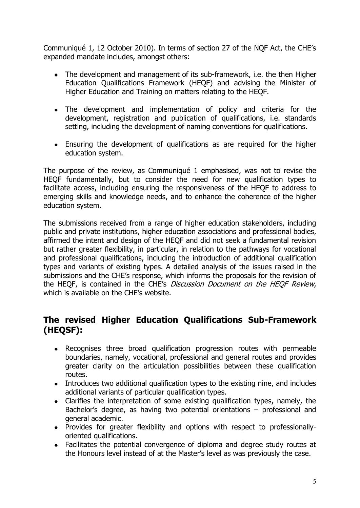Communiqué 1, 12 October 2010). In terms of section 27 of the NQF Act, the CHE's expanded mandate includes, amongst others:

- The development and management of its sub-framework, i.e. the then Higher Education Qualifications Framework (HEQF) and advising the Minister of Higher Education and Training on matters relating to the HEQF.
- The development and implementation of policy and criteria for the development, registration and publication of qualifications, i.e. standards setting, including the development of naming conventions for qualifications.
- Ensuring the development of qualifications as are required for the higher education system.

The purpose of the review, as Communiqué 1 emphasised, was not to revise the HEQF fundamentally, but to consider the need for new qualification types to facilitate access, including ensuring the responsiveness of the HEQF to address to emerging skills and knowledge needs, and to enhance the coherence of the higher education system.

The submissions received from a range of higher education stakeholders, including public and private institutions, higher education associations and professional bodies, affirmed the intent and design of the HEQF and did not seek a fundamental revision but rather greater flexibility, in particular, in relation to the pathways for vocational and professional qualifications, including the introduction of additional qualification types and variants of existing types. A detailed analysis of the issues raised in the submissions and the CHE's response, which informs the proposals for the revision of the HEQF, is contained in the CHE's Discussion Document on the HEQF Review, which is available on the CHE's website.

# <span id="page-4-0"></span>**The revised Higher Education Qualifications Sub-Framework (HEQSF):**

- Recognises three broad qualification progression routes with permeable  $\bullet$ boundaries, namely, vocational, professional and general routes and provides greater clarity on the articulation possibilities between these qualification routes.
- Introduces two additional qualification types to the existing nine, and includes additional variants of particular qualification types.
- Clarifies the interpretation of some existing qualification types, namely, the Bachelor's degree, as having two potential orientations – professional and general academic.
- Provides for greater flexibility and options with respect to professionallyoriented qualifications.
- Facilitates the potential convergence of diploma and degree study routes at the Honours level instead of at the Master's level as was previously the case.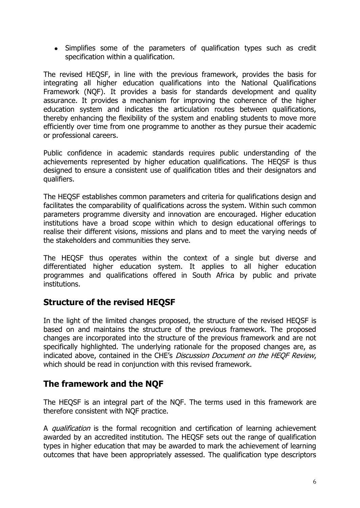• Simplifies some of the parameters of qualification types such as credit specification within a qualification.

The revised HEQSF, in line with the previous framework, provides the basis for integrating all higher education qualifications into the National Qualifications Framework (NQF). It provides a basis for standards development and quality assurance. It provides a mechanism for improving the coherence of the higher education system and indicates the articulation routes between qualifications, thereby enhancing the flexibility of the system and enabling students to move more efficiently over time from one programme to another as they pursue their academic or professional careers.

Public confidence in academic standards requires public understanding of the achievements represented by higher education qualifications. The HEQSF is thus designed to ensure a consistent use of qualification titles and their designators and qualifiers.

The HEQSF establishes common parameters and criteria for qualifications design and facilitates the comparability of qualifications across the system. Within such common parameters programme diversity and innovation are encouraged. Higher education institutions have a broad scope within which to design educational offerings to realise their different visions, missions and plans and to meet the varying needs of the stakeholders and communities they serve.

The HEQSF thus operates within the context of a single but diverse and differentiated higher education system. It applies to all higher education programmes and qualifications offered in South Africa by public and private institutions.

# <span id="page-5-0"></span>**Structure of the revised HEQSF**

In the light of the limited changes proposed, the structure of the revised HEQSF is based on and maintains the structure of the previous framework. The proposed changes are incorporated into the structure of the previous framework and are not specifically highlighted. The underlying rationale for the proposed changes are, as indicated above, contained in the CHE's Discussion Document on the HEQF Review, which should be read in conjunction with this revised framework.

# <span id="page-5-1"></span>**The framework and the NQF**

The HEQSF is an integral part of the NQF. The terms used in this framework are therefore consistent with NQF practice.

A *qualification* is the formal recognition and certification of learning achievement awarded by an accredited institution. The HEQSF sets out the range of qualification types in higher education that may be awarded to mark the achievement of learning outcomes that have been appropriately assessed. The qualification type descriptors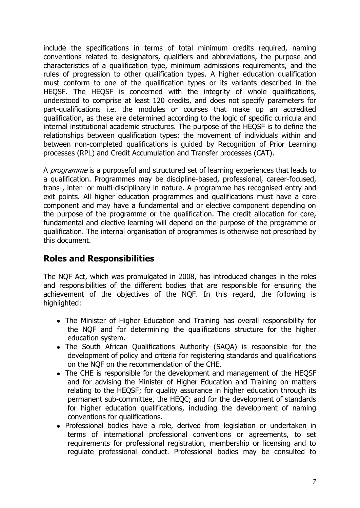include the specifications in terms of total minimum credits required, naming conventions related to designators, qualifiers and abbreviations, the purpose and characteristics of a qualification type, minimum admissions requirements, and the rules of progression to other qualification types. A higher education qualification must conform to one of the qualification types or its variants described in the HEQSF. The HEQSF is concerned with the integrity of whole qualifications, understood to comprise at least 120 credits, and does not specify parameters for part-qualifications i.e. the modules or courses that make up an accredited qualification, as these are determined according to the logic of specific curricula and internal institutional academic structures. The purpose of the HEQSF is to define the relationships between qualification types; the movement of individuals within and between non-completed qualifications is guided by Recognition of Prior Learning processes (RPL) and Credit Accumulation and Transfer processes (CAT).

A *programme* is a purposeful and structured set of learning experiences that leads to a qualification. Programmes may be discipline-based, professional, career-focused, trans-, inter- or multi-disciplinary in nature. A programme has recognised entry and exit points. All higher education programmes and qualifications must have a core component and may have a fundamental and or elective component depending on the purpose of the programme or the qualification. The credit allocation for core, fundamental and elective learning will depend on the purpose of the programme or qualification. The internal organisation of programmes is otherwise not prescribed by this document.

# <span id="page-6-0"></span>**Roles and Responsibilities**

The NQF Act, which was promulgated in 2008, has introduced changes in the roles and responsibilities of the different bodies that are responsible for ensuring the achievement of the objectives of the NQF. In this regard, the following is highlighted:

- The Minister of Higher Education and Training has overall responsibility for the NQF and for determining the qualifications structure for the higher education system.
- The South African Qualifications Authority (SAQA) is responsible for the development of policy and criteria for registering standards and qualifications on the NQF on the recommendation of the CHE.
- The CHE is responsible for the development and management of the HEQSF and for advising the Minister of Higher Education and Training on matters relating to the HEQSF; for quality assurance in higher education through its permanent sub-committee, the HEQC; and for the development of standards for higher education qualifications, including the development of naming conventions for qualifications.
- Professional bodies have a role, derived from legislation or undertaken in terms of international professional conventions or agreements, to set requirements for professional registration, membership or licensing and to regulate professional conduct. Professional bodies may be consulted to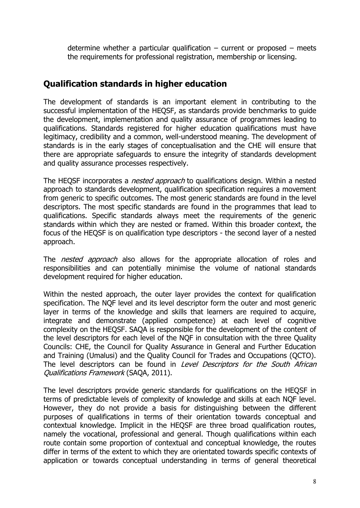determine whether a particular qualification – current or proposed – meets the requirements for professional registration, membership or licensing.

# <span id="page-7-0"></span>**Qualification standards in higher education**

The development of standards is an important element in contributing to the successful implementation of the HEQSF, as standards provide benchmarks to guide the development, implementation and quality assurance of programmes leading to qualifications. Standards registered for higher education qualifications must have legitimacy, credibility and a common, well-understood meaning. The development of standards is in the early stages of conceptualisation and the CHE will ensure that there are appropriate safeguards to ensure the integrity of standards development and quality assurance processes respectively.

The HEQSF incorporates a *nested approach* to qualifications design. Within a nested approach to standards development, qualification specification requires a movement from generic to specific outcomes. The most generic standards are found in the level descriptors. The most specific standards are found in the programmes that lead to qualifications. Specific standards always meet the requirements of the generic standards within which they are nested or framed. Within this broader context, the focus of the HEQSF is on qualification type descriptors - the second layer of a nested approach.

The *nested approach* also allows for the appropriate allocation of roles and responsibilities and can potentially minimise the volume of national standards development required for higher education.

Within the nested approach, the outer layer provides the context for qualification specification. The NQF level and its level descriptor form the outer and most generic layer in terms of the knowledge and skills that learners are required to acquire, integrate and demonstrate (applied competence) at each level of cognitive complexity on the HEQSF. SAQA is responsible for the development of the content of the level descriptors for each level of the NQF in consultation with the three Quality Councils: CHE, the Council for Quality Assurance in General and Further Education and Training (Umalusi) and the Quality Council for Trades and Occupations (QCTO). The level descriptors can be found in Level Descriptors for the South African Qualifications Framework (SAQA, 2011).

The level descriptors provide generic standards for qualifications on the HEQSF in terms of predictable levels of complexity of knowledge and skills at each NQF level. However, they do not provide a basis for distinguishing between the different purposes of qualifications in terms of their orientation towards conceptual and contextual knowledge. Implicit in the HEQSF are three broad qualification routes, namely the vocational, professional and general. Though qualifications within each route contain some proportion of contextual and conceptual knowledge, the routes differ in terms of the extent to which they are orientated towards specific contexts of application or towards conceptual understanding in terms of general theoretical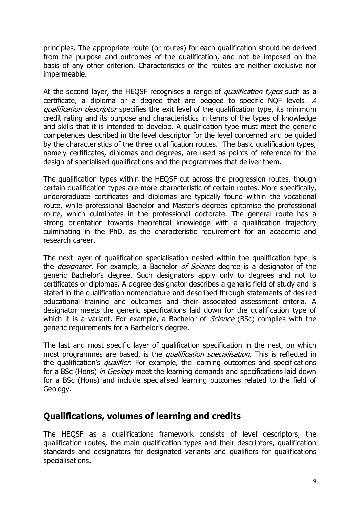principles. The appropriate route (or routes) for each qualification should be derived from the purpose and outcomes of the qualification, and not be imposed on the basis of any other criterion. Characteristics of the routes are neither exclusive nor impermeable.

At the second layer, the HEQSF recognises a range of *qualification types* such as a certificate, a diploma or a degree that are pegged to specific NQF levels. A qualification descriptor specifies the exit level of the qualification type, its minimum credit rating and its purpose and characteristics in terms of the types of knowledge and skills that it is intended to develop. A qualification type must meet the generic competences described in the level descriptor for the level concerned and be guided by the characteristics of the three qualification routes. The basic qualification types, namely certificates, diplomas and degrees, are used as points of reference for the design of specialised qualifications and the programmes that deliver them.

The qualification types within the HEQSF cut across the progression routes, though certain qualification types are more characteristic of certain routes. More specifically, undergraduate certificates and diplomas are typically found within the vocational route, while professional Bachelor and Master's degrees epitomise the professional route, which culminates in the professional doctorate. The general route has a strong orientation towards theoretical knowledge with a qualification trajectory culminating in the PhD, as the characteristic requirement for an academic and research career.

The next layer of qualification specialisation nested within the qualification type is the *designator*. For example, a Bachelor of Science degree is a designator of the generic Bachelor's degree. Such designators apply only to degrees and not to certificates or diplomas. A degree designator describes a generic field of study and is stated in the qualification nomenclature and described through statements of desired educational training and outcomes and their associated assessment criteria. A designator meets the generic specifications laid down for the qualification type of which it is a variant. For example, a Bachelor of *Science* (BSc) complies with the generic requirements for a Bachelor's degree.

The last and most specific layer of qualification specification in the nest, on which most programmes are based, is the *qualification specialisation*. This is reflected in the qualification's *qualifier*. For example, the learning outcomes and specifications for a BSc (Hons) in Geology meet the learning demands and specifications laid down for a BSc (Hons) and include specialised learning outcomes related to the field of Geology.

# <span id="page-8-0"></span>**Qualifications, volumes of learning and credits**

The HEQSF as a qualifications framework consists of level descriptors, the qualification routes, the main qualification types and their descriptors, qualification standards and designators for designated variants and qualifiers for qualifications specialisations.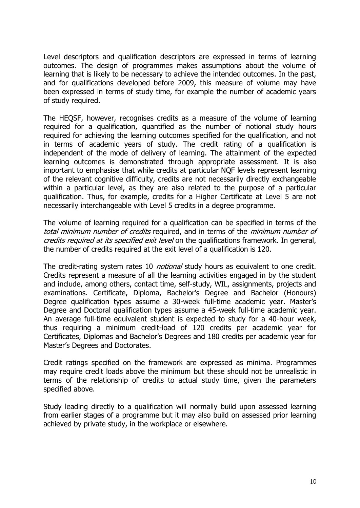Level descriptors and qualification descriptors are expressed in terms of learning outcomes. The design of programmes makes assumptions about the volume of learning that is likely to be necessary to achieve the intended outcomes. In the past, and for qualifications developed before 2009, this measure of volume may have been expressed in terms of study time, for example the number of academic years of study required.

The HEQSF, however, recognises credits as a measure of the volume of learning required for a qualification, quantified as the number of notional study hours required for achieving the learning outcomes specified for the qualification, and not in terms of academic years of study. The credit rating of a qualification is independent of the mode of delivery of learning. The attainment of the expected learning outcomes is demonstrated through appropriate assessment. It is also important to emphasise that while credits at particular NQF levels represent learning of the relevant cognitive difficulty, credits are not necessarily directly exchangeable within a particular level, as they are also related to the purpose of a particular qualification. Thus, for example, credits for a Higher Certificate at Level 5 are not necessarily interchangeable with Level 5 credits in a degree programme.

The volume of learning required for a qualification can be specified in terms of the total minimum number of credits required, and in terms of the minimum number of credits required at its specified exit level on the qualifications framework. In general, the number of credits required at the exit level of a qualification is 120.

The credit-rating system rates 10 *notional* study hours as equivalent to one credit. Credits represent a measure of all the learning activities engaged in by the student and include, among others, contact time, self-study, WIL, assignments, projects and examinations. Certificate, Diploma, Bachelor's Degree and Bachelor (Honours) Degree qualification types assume a 30-week full-time academic year. Master's Degree and Doctoral qualification types assume a 45-week full-time academic year. An average full-time equivalent student is expected to study for a 40-hour week, thus requiring a minimum credit-load of 120 credits per academic year for Certificates, Diplomas and Bachelor's Degrees and 180 credits per academic year for Master's Degrees and Doctorates.

Credit ratings specified on the framework are expressed as minima. Programmes may require credit loads above the minimum but these should not be unrealistic in terms of the relationship of credits to actual study time, given the parameters specified above.

Study leading directly to a qualification will normally build upon assessed learning from earlier stages of a programme but it may also build on assessed prior learning achieved by private study, in the workplace or elsewhere.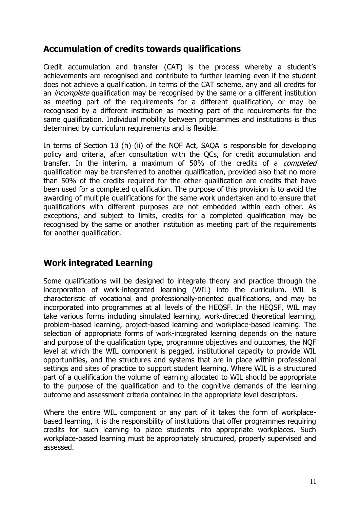# <span id="page-10-0"></span>**Accumulation of credits towards qualifications**

Credit accumulation and transfer (CAT) is the process whereby a student's achievements are recognised and contribute to further learning even if the student does not achieve a qualification. In terms of the CAT scheme, any and all credits for an *incomplete* qualification may be recognised by the same or a different institution as meeting part of the requirements for a different qualification, or may be recognised by a different institution as meeting part of the requirements for the same qualification. Individual mobility between programmes and institutions is thus determined by curriculum requirements and is flexible.

In terms of Section 13 (h) (ii) of the NQF Act, SAQA is responsible for developing policy and criteria, after consultation with the QCs, for credit accumulation and transfer. In the interim, a maximum of 50% of the credits of a *completed* qualification may be transferred to another qualification, provided also that no more than 50% of the credits required for the other qualification are credits that have been used for a completed qualification. The purpose of this provision is to avoid the awarding of multiple qualifications for the same work undertaken and to ensure that qualifications with different purposes are not embedded within each other. As exceptions, and subject to limits, credits for a completed qualification may be recognised by the same or another institution as meeting part of the requirements for another qualification.

# <span id="page-10-1"></span>**Work integrated Learning**

Some qualifications will be designed to integrate theory and practice through the incorporation of work-integrated learning (WIL) into the curriculum. WIL is characteristic of vocational and professionally-oriented qualifications, and may be incorporated into programmes at all levels of the HEQSF. In the HEQSF, WIL may take various forms including simulated learning, work-directed theoretical learning, problem-based learning, project-based learning and workplace-based learning. The selection of appropriate forms of work-integrated learning depends on the nature and purpose of the qualification type, programme objectives and outcomes, the NQF level at which the WIL component is pegged, institutional capacity to provide WIL opportunities, and the structures and systems that are in place within professional settings and sites of practice to support student learning. Where WIL is a structured part of a qualification the volume of learning allocated to WIL should be appropriate to the purpose of the qualification and to the cognitive demands of the learning outcome and assessment criteria contained in the appropriate level descriptors.

Where the entire WIL component or any part of it takes the form of workplacebased learning, it is the responsibility of institutions that offer programmes requiring credits for such learning to place students into appropriate workplaces. Such workplace-based learning must be appropriately structured, properly supervised and assessed.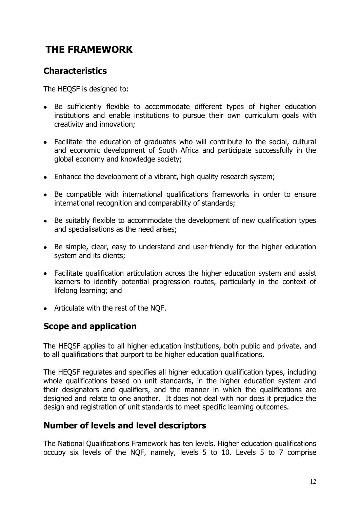# <span id="page-11-0"></span>**THE FRAMEWORK**

# <span id="page-11-1"></span>**Characteristics**

The HEQSF is designed to:

- Be sufficiently flexible to accommodate different types of higher education institutions and enable institutions to pursue their own curriculum goals with creativity and innovation;
- Facilitate the education of graduates who will contribute to the social, cultural and economic development of South Africa and participate successfully in the global economy and knowledge society;
- Enhance the development of a vibrant, high quality research system;
- Be compatible with international qualifications frameworks in order to ensure international recognition and comparability of standards;
- Be suitably flexible to accommodate the development of new qualification types and specialisations as the need arises;
- Be simple, clear, easy to understand and user-friendly for the higher education system and its clients;
- Facilitate qualification articulation across the higher education system and assist learners to identify potential progression routes, particularly in the context of lifelong learning; and
- Articulate with the rest of the NQF.

# **Scope and application**

The HEQSF applies to all higher education institutions, both public and private, and to all qualifications that purport to be higher education qualifications.

The HEQSF regulates and specifies all higher education qualification types, including whole qualifications based on unit standards, in the higher education system and their designators and qualifiers, and the manner in which the qualifications are designed and relate to one another. It does not deal with nor does it prejudice the design and registration of unit standards to meet specific learning outcomes.

# <span id="page-11-2"></span>**Number of levels and level descriptors**

The National Qualifications Framework has ten levels. Higher education qualifications occupy six levels of the NQF, namely, levels 5 to 10. Levels 5 to 7 comprise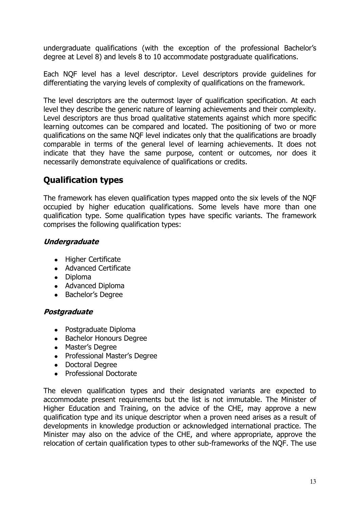undergraduate qualifications (with the exception of the professional Bachelor's degree at Level 8) and levels 8 to 10 accommodate postgraduate qualifications.

Each NQF level has a level descriptor. Level descriptors provide guidelines for differentiating the varying levels of complexity of qualifications on the framework.

The level descriptors are the outermost layer of qualification specification. At each level they describe the generic nature of learning achievements and their complexity. Level descriptors are thus broad qualitative statements against which more specific learning outcomes can be compared and located. The positioning of two or more qualifications on the same NQF level indicates only that the qualifications are broadly comparable in terms of the general level of learning achievements. It does not indicate that they have the same purpose, content or outcomes, nor does it necessarily demonstrate equivalence of qualifications or credits.

# <span id="page-12-0"></span>**Qualification types**

The framework has eleven qualification types mapped onto the six levels of the NQF occupied by higher education qualifications. Some levels have more than one qualification type. Some qualification types have specific variants. The framework comprises the following qualification types:

### <span id="page-12-1"></span>**Undergraduate**

- Higher Certificate
- Advanced Certificate
- Diploma
- Advanced Diploma
- Bachelor's Degree

### <span id="page-12-2"></span>**Postgraduate**

- Postgraduate Diploma
- Bachelor Honours Degree
- Master's Degree
- Professional Master's Degree
- Doctoral Degree
- Professional Doctorate

The eleven qualification types and their designated variants are expected to accommodate present requirements but the list is not immutable. The Minister of Higher Education and Training, on the advice of the CHE, may approve a new qualification type and its unique descriptor when a proven need arises as a result of developments in knowledge production or acknowledged international practice. The Minister may also on the advice of the CHE, and where appropriate, approve the relocation of certain qualification types to other sub-frameworks of the NQF. The use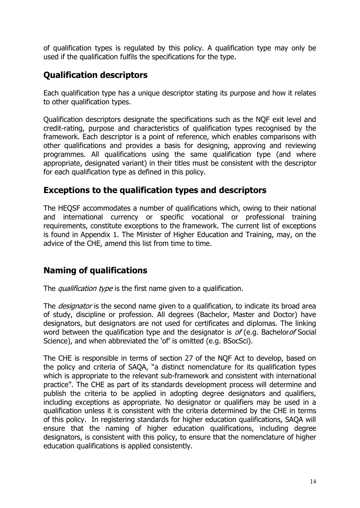of qualification types is regulated by this policy. A qualification type may only be used if the qualification fulfils the specifications for the type.

# <span id="page-13-0"></span>**Qualification descriptors**

Each qualification type has a unique descriptor stating its purpose and how it relates to other qualification types.

Qualification descriptors designate the specifications such as the NQF exit level and credit-rating, purpose and characteristics of qualification types recognised by the framework. Each descriptor is a point of reference, which enables comparisons with other qualifications and provides a basis for designing, approving and reviewing programmes. All qualifications using the same qualification type (and where appropriate, designated variant) in their titles must be consistent with the descriptor for each qualification type as defined in this policy.

## **Exceptions to the qualification types and descriptors**

The HEQSF accommodates a number of qualifications which, owing to their national and international currency or specific vocational or professional training requirements, constitute exceptions to the framework. The current list of exceptions is found in Appendix 1. The Minister of Higher Education and Training, may, on the advice of the CHE, amend this list from time to time.

# <span id="page-13-1"></span>**Naming of qualifications**

The *qualification type* is the first name given to a qualification.

The *designator* is the second name given to a qualification, to indicate its broad area of study, discipline or profession. All degrees (Bachelor, Master and Doctor) have designators, but designators are not used for certificates and diplomas. The linking word between the qualification type and the designator is  $of$  (e.g. Bachelor of Social Science), and when abbreviated the 'of' is omitted (e.g. BSocSci).

The CHE is responsible in terms of section 27 of the NQF Act to develop, based on the policy and criteria of SAQA, "a distinct nomenclature for its qualification types which is appropriate to the relevant sub-framework and consistent with international practice". The CHE as part of its standards development process will determine and publish the criteria to be applied in adopting degree designators and qualifiers, including exceptions as appropriate. No designator or qualifiers may be used in a qualification unless it is consistent with the criteria determined by the CHE in terms of this policy. In registering standards for higher education qualifications, SAQA will ensure that the naming of higher education qualifications, including degree designators, is consistent with this policy, to ensure that the nomenclature of higher education qualifications is applied consistently.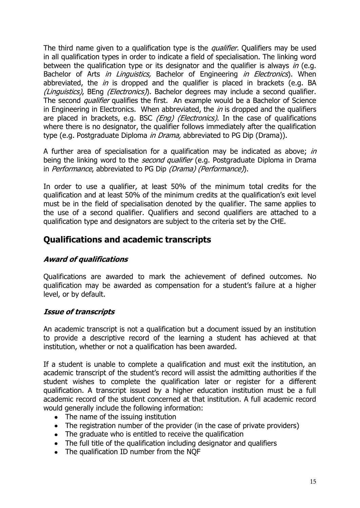The third name given to a qualification type is the *qualifier*. Qualifiers may be used in all qualification types in order to indicate a field of specialisation. The linking word between the qualification type or its designator and the qualifier is always in (e.g. Bachelor of Arts in Linguistics, Bachelor of Engineering in Electronics). When abbreviated, the  $in$  is dropped and the qualifier is placed in brackets (e.g. BA (Linguistics), BEng (Electronics). Bachelor degrees may include a second qualifier. The second *qualifier* qualifies the first. An example would be a Bachelor of Science in Engineering in Electronics. When abbreviated, the  $in$  is dropped and the qualifiers are placed in brackets, e.g. BSC  $(Eng)$  (Electronics). In the case of qualifications where there is no designator, the qualifier follows immediately after the qualification type (e.g. Postgraduate Diploma *in Drama*, abbreviated to PG Dip (Drama)).

A further area of specialisation for a qualification may be indicated as above; in being the linking word to the *second qualifier* (e.g. Postgraduate Diploma in Drama in Performance, abbreviated to PG Dip (Drama) (Performance).

In order to use a qualifier, at least 50% of the minimum total credits for the qualification and at least 50% of the minimum credits at the qualification's exit level must be in the field of specialisation denoted by the qualifier. The same applies to the use of a second qualifier. Qualifiers and second qualifiers are attached to a qualification type and designators are subject to the criteria set by the CHE.

## <span id="page-14-0"></span>**Qualifications and academic transcripts**

### <span id="page-14-1"></span>**Award of qualifications**

Qualifications are awarded to mark the achievement of defined outcomes. No qualification may be awarded as compensation for a student's failure at a higher level, or by default.

### <span id="page-14-2"></span>**Issue of transcripts**

An academic transcript is not a qualification but a document issued by an institution to provide a descriptive record of the learning a student has achieved at that institution, whether or not a qualification has been awarded.

If a student is unable to complete a qualification and must exit the institution, an academic transcript of the student's record will assist the admitting authorities if the student wishes to complete the qualification later or register for a different qualification. A transcript issued by a higher education institution must be a full academic record of the student concerned at that institution. A full academic record would generally include the following information:

- The name of the issuing institution
- The registration number of the provider (in the case of private providers)
- The graduate who is entitled to receive the qualification
- The full title of the qualification including designator and qualifiers
- The qualification ID number from the NQF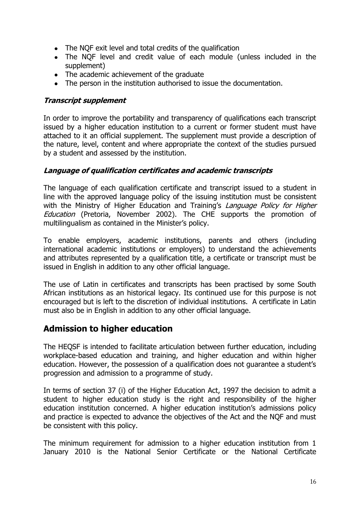- The NQF exit level and total credits of the qualification
- The NQF level and credit value of each module (unless included in the supplement)
- The academic achievement of the graduate
- The person in the institution authorised to issue the documentation.

### <span id="page-15-0"></span>**Transcript supplement**

In order to improve the portability and transparency of qualifications each transcript issued by a higher education institution to a current or former student must have attached to it an official supplement. The supplement must provide a description of the nature, level, content and where appropriate the context of the studies pursued by a student and assessed by the institution.

### <span id="page-15-1"></span>**Language of qualification certificates and academic transcripts**

The language of each qualification certificate and transcript issued to a student in line with the approved language policy of the issuing institution must be consistent with the Ministry of Higher Education and Training's Language Policy for Higher Education (Pretoria, November 2002). The CHE supports the promotion of multilingualism as contained in the Minister's policy.

To enable employers, academic institutions, parents and others (including international academic institutions or employers) to understand the achievements and attributes represented by a qualification title, a certificate or transcript must be issued in English in addition to any other official language.

The use of Latin in certificates and transcripts has been practised by some South African institutions as an historical legacy. Its continued use for this purpose is not encouraged but is left to the discretion of individual institutions. A certificate in Latin must also be in English in addition to any other official language.

### <span id="page-15-2"></span>**Admission to higher education**

The HEQSF is intended to facilitate articulation between further education, including workplace-based education and training, and higher education and within higher education. However, the possession of a qualification does not guarantee a student's progression and admission to a programme of study.

In terms of section 37 (i) of the Higher Education Act, 1997 the decision to admit a student to higher education study is the right and responsibility of the higher education institution concerned. A higher education institution's admissions policy and practice is expected to advance the objectives of the Act and the NQF and must be consistent with this policy.

The minimum requirement for admission to a higher education institution from 1 January 2010 is the National Senior Certificate or the National Certificate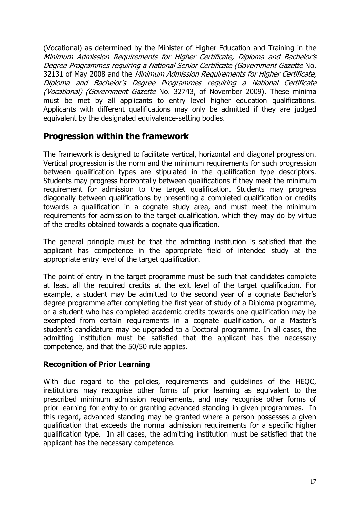(Vocational) as determined by the Minister of Higher Education and Training in the Minimum Admission Requirements for Higher Certificate, Diploma and Bachelor's Degree Programmes requiring a National Senior Certificate (Government Gazette No. 32131 of May 2008 and the Minimum Admission Requirements for Higher Certificate, Diploma and Bachelor's Degree Programmes requiring a National Certificate (Vocational) (Government Gazette No. 32743, of November 2009). These minima must be met by all applicants to entry level higher education qualifications. Applicants with different qualifications may only be admitted if they are judged equivalent by the designated equivalence-setting bodies.

# <span id="page-16-0"></span>**Progression within the framework**

The framework is designed to facilitate vertical, horizontal and diagonal progression. Vertical progression is the norm and the minimum requirements for such progression between qualification types are stipulated in the qualification type descriptors. Students may progress horizontally between qualifications if they meet the minimum requirement for admission to the target qualification. Students may progress diagonally between qualifications by presenting a completed qualification or credits towards a qualification in a cognate study area, and must meet the minimum requirements for admission to the target qualification, which they may do by virtue of the credits obtained towards a cognate qualification.

The general principle must be that the admitting institution is satisfied that the applicant has competence in the appropriate field of intended study at the appropriate entry level of the target qualification.

The point of entry in the target programme must be such that candidates complete at least all the required credits at the exit level of the target qualification. For example, a student may be admitted to the second year of a cognate Bachelor's degree programme after completing the first year of study of a Diploma programme, or a student who has completed academic credits towards one qualification may be exempted from certain requirements in a cognate qualification, or a Master's student's candidature may be upgraded to a Doctoral programme. In all cases, the admitting institution must be satisfied that the applicant has the necessary competence, and that the 50/50 rule applies.

### **Recognition of Prior Learning**

With due regard to the policies, requirements and guidelines of the HEQC, institutions may recognise other forms of prior learning as equivalent to the prescribed minimum admission requirements, and may recognise other forms of prior learning for entry to or granting advanced standing in given programmes. In this regard, advanced standing may be granted where a person possesses a given qualification that exceeds the normal admission requirements for a specific higher qualification type. In all cases, the admitting institution must be satisfied that the applicant has the necessary competence.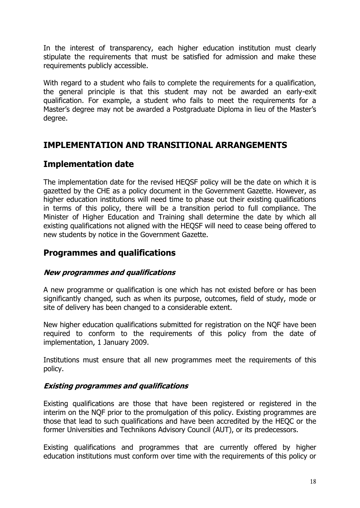In the interest of transparency, each higher education institution must clearly stipulate the requirements that must be satisfied for admission and make these requirements publicly accessible.

With regard to a student who fails to complete the requirements for a qualification, the general principle is that this student may not be awarded an early-exit qualification. For example, a student who fails to meet the requirements for a Master's degree may not be awarded a Postgraduate Diploma in lieu of the Master's degree.

# <span id="page-17-0"></span>**IMPLEMENTATION AND TRANSITIONAL ARRANGEMENTS**

# <span id="page-17-1"></span>**Implementation date**

The implementation date for the revised HEQSF policy will be the date on which it is gazetted by the CHE as a policy document in the Government Gazette. However, as higher education institutions will need time to phase out their existing qualifications in terms of this policy, there will be a transition period to full compliance. The Minister of Higher Education and Training shall determine the date by which all existing qualifications not aligned with the HEQSF will need to cease being offered to new students by notice in the Government Gazette.

# <span id="page-17-2"></span>**Programmes and qualifications**

### <span id="page-17-3"></span>**New programmes and qualifications**

A new programme or qualification is one which has not existed before or has been significantly changed, such as when its purpose, outcomes, field of study, mode or site of delivery has been changed to a considerable extent.

New higher education qualifications submitted for registration on the NQF have been required to conform to the requirements of this policy from the date of implementation, 1 January 2009.

Institutions must ensure that all new programmes meet the requirements of this policy.

### <span id="page-17-4"></span>**Existing programmes and qualifications**

Existing qualifications are those that have been registered or registered in the interim on the NQF prior to the promulgation of this policy. Existing programmes are those that lead to such qualifications and have been accredited by the HEQC or the former Universities and Technikons Advisory Council (AUT), or its predecessors.

Existing qualifications and programmes that are currently offered by higher education institutions must conform over time with the requirements of this policy or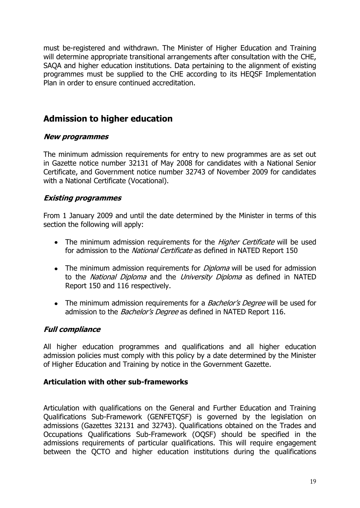must be-registered and withdrawn. The Minister of Higher Education and Training will determine appropriate transitional arrangements after consultation with the CHE, SAQA and higher education institutions. Data pertaining to the alignment of existing programmes must be supplied to the CHE according to its HEQSF Implementation Plan in order to ensure continued accreditation.

# <span id="page-18-0"></span>**Admission to higher education**

### <span id="page-18-1"></span>**New programmes**

The minimum admission requirements for entry to new programmes are as set out in Gazette notice number 32131 of May 2008 for candidates with a National Senior Certificate, and Government notice number 32743 of November 2009 for candidates with a National Certificate (Vocational).

### <span id="page-18-2"></span>**Existing programmes**

From 1 January 2009 and until the date determined by the Minister in terms of this section the following will apply:

- The minimum admission requirements for the *Higher Certificate* will be used for admission to the *National Certificate* as defined in NATED Report 150
- The minimum admission requirements for *Diploma* will be used for admission to the National Diploma and the University Diploma as defined in NATED Report 150 and 116 respectively.
- The minimum admission requirements for a *Bachelor's Degree* will be used for admission to the *Bachelor's Degree* as defined in NATED Report 116.

### <span id="page-18-3"></span>**Full compliance**

All higher education programmes and qualifications and all higher education admission policies must comply with this policy by a date determined by the Minister of Higher Education and Training by notice in the Government Gazette.

### **Articulation with other sub-frameworks**

Articulation with qualifications on the General and Further Education and Training Qualifications Sub-Framework (GENFETQSF) is governed by the legislation on admissions (Gazettes 32131 and 32743). Qualifications obtained on the Trades and Occupations Qualifications Sub-Framework (OQSF) should be specified in the admissions requirements of particular qualifications. This will require engagement between the QCTO and higher education institutions during the qualifications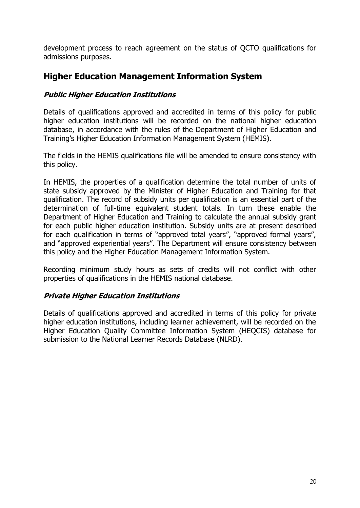development process to reach agreement on the status of QCTO qualifications for admissions purposes.

## <span id="page-19-0"></span>**Higher Education Management Information System**

### <span id="page-19-1"></span>**Public Higher Education Institutions**

Details of qualifications approved and accredited in terms of this policy for public higher education institutions will be recorded on the national higher education database, in accordance with the rules of the Department of Higher Education and Training's Higher Education Information Management System (HEMIS).

The fields in the HEMIS qualifications file will be amended to ensure consistency with this policy.

In HEMIS, the properties of a qualification determine the total number of units of state subsidy approved by the Minister of Higher Education and Training for that qualification. The record of subsidy units per qualification is an essential part of the determination of full-time equivalent student totals. In turn these enable the Department of Higher Education and Training to calculate the annual subsidy grant for each public higher education institution. Subsidy units are at present described for each qualification in terms of "approved total years", "approved formal years", and "approved experiential years". The Department will ensure consistency between this policy and the Higher Education Management Information System.

Recording minimum study hours as sets of credits will not conflict with other properties of qualifications in the HEMIS national database.

### <span id="page-19-2"></span>**Private Higher Education Institutions**

Details of qualifications approved and accredited in terms of this policy for private higher education institutions, including learner achievement, will be recorded on the Higher Education Quality Committee Information System (HEQCIS) database for submission to the National Learner Records Database (NLRD).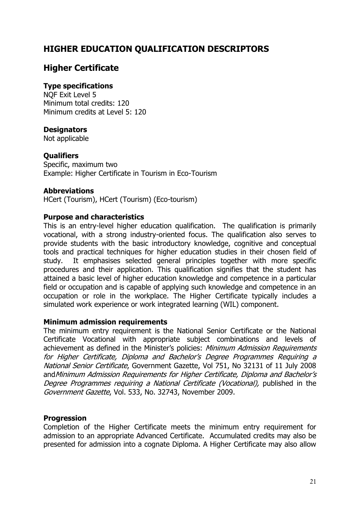# <span id="page-20-0"></span>**HIGHER EDUCATION QUALIFICATION DESCRIPTORS**

# <span id="page-20-1"></span>**Higher Certificate**

### **Type specifications**

NQF Exit Level 5 Minimum total credits: 120 Minimum credits at Level 5: 120

### **Designators**

Not applicable

### **Qualifiers**

Specific, maximum two Example: Higher Certificate in Tourism in Eco-Tourism

### **Abbreviations**

HCert (Tourism), HCert (Tourism) (Eco-tourism)

#### **Purpose and characteristics**

This is an entry-level higher education qualification. The qualification is primarily vocational, with a strong industry-oriented focus. The qualification also serves to provide students with the basic introductory knowledge, cognitive and conceptual tools and practical techniques for higher education studies in their chosen field of study. It emphasises selected general principles together with more specific procedures and their application. This qualification signifies that the student has attained a basic level of higher education knowledge and competence in a particular field or occupation and is capable of applying such knowledge and competence in an occupation or role in the workplace. The Higher Certificate typically includes a simulated work experience or work integrated learning (WIL) component.

#### **Minimum admission requirements**

The minimum entry requirement is the National Senior Certificate or the National Certificate Vocational with appropriate subject combinations and levels of achievement as defined in the Minister's policies: Minimum Admission Requirements for Higher Certificate, Diploma and Bachelor's Degree Programmes Requiring a National Senior Certificate, Government Gazette, Vol 751, No 32131 of 11 July 2008 andMinimum Admission Requirements for Higher Certificate, Diploma and Bachelor's Degree Programmes requiring a National Certificate (Vocational), published in the Government Gazette, Vol. 533, No. 32743, November 2009.

### **Progression**

Completion of the Higher Certificate meets the minimum entry requirement for admission to an appropriate Advanced Certificate. Accumulated credits may also be presented for admission into a cognate Diploma. A Higher Certificate may also allow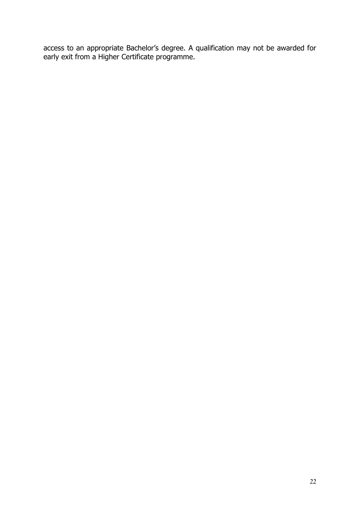access to an appropriate Bachelor's degree. A qualification may not be awarded for early exit from a Higher Certificate programme.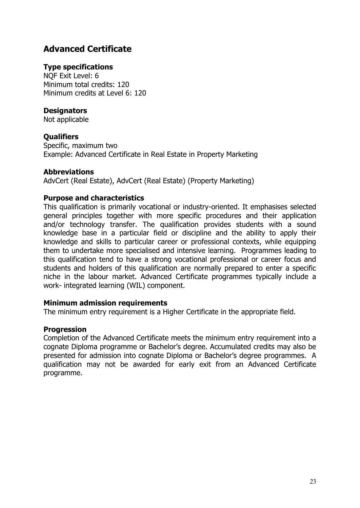# <span id="page-22-0"></span>**Advanced Certificate**

### **Type specifications**

NQF Exit Level: 6 Minimum total credits: 120 Minimum credits at Level 6: 120

### **Designators**

Not applicable

### **Qualifiers**

Specific, maximum two Example: Advanced Certificate in Real Estate in Property Marketing

### **Abbreviations**

AdvCert (Real Estate), AdvCert (Real Estate) (Property Marketing)

### **Purpose and characteristics**

This qualification is primarily vocational or industry-oriented. It emphasises selected general principles together with more specific procedures and their application and/or technology transfer. The qualification provides students with a sound knowledge base in a particular field or discipline and the ability to apply their knowledge and skills to particular career or professional contexts, while equipping them to undertake more specialised and intensive learning. Programmes leading to this qualification tend to have a strong vocational professional or career focus and students and holders of this qualification are normally prepared to enter a specific niche in the labour market. Advanced Certificate programmes typically include a work- integrated learning (WIL) component.

### **Minimum admission requirements**

The minimum entry requirement is a Higher Certificate in the appropriate field.

### **Progression**

Completion of the Advanced Certificate meets the minimum entry requirement into a cognate Diploma programme or Bachelor's degree. Accumulated credits may also be presented for admission into cognate Diploma or Bachelor's degree programmes. A qualification may not be awarded for early exit from an Advanced Certificate programme.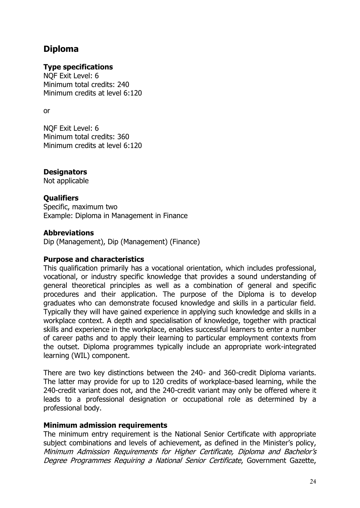# <span id="page-23-0"></span>**Diploma**

### **Type specifications**

NQF Exit Level: 6 Minimum total credits: 240 Minimum credits at level 6:120

or

NQF Exit Level: 6 Minimum total credits: 360 Minimum credits at level 6:120

### **Designators**

Not applicable

### **Qualifiers**

Specific, maximum two Example: Diploma in Management in Finance

### **Abbreviations**

Dip (Management), Dip (Management) (Finance)

### **Purpose and characteristics**

This qualification primarily has a vocational orientation, which includes professional, vocational, or industry specific knowledge that provides a sound understanding of general theoretical principles as well as a combination of general and specific procedures and their application. The purpose of the Diploma is to develop graduates who can demonstrate focused knowledge and skills in a particular field. Typically they will have gained experience in applying such knowledge and skills in a workplace context. A depth and specialisation of knowledge, together with practical skills and experience in the workplace, enables successful learners to enter a number of career paths and to apply their learning to particular employment contexts from the outset. Diploma programmes typically include an appropriate work-integrated learning (WIL) component.

There are two key distinctions between the 240- and 360-credit Diploma variants. The latter may provide for up to 120 credits of workplace-based learning, while the 240-credit variant does not, and the 240-credit variant may only be offered where it leads to a professional designation or occupational role as determined by a professional body.

### **Minimum admission requirements**

The minimum entry requirement is the National Senior Certificate with appropriate subject combinations and levels of achievement, as defined in the Minister's policy, Minimum Admission Requirements for Higher Certificate, Diploma and Bachelor's Degree Programmes Requiring a National Senior Certificate, Government Gazette,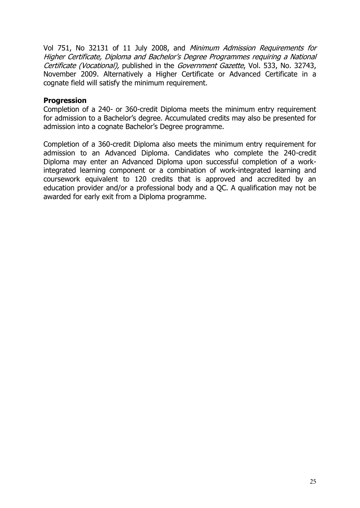Vol 751, No 32131 of 11 July 2008, and Minimum Admission Requirements for Higher Certificate, Diploma and Bachelor's Degree Programmes requiring a National Certificate (Vocational), published in the Government Gazette, Vol. 533, No. 32743, November 2009. Alternatively a Higher Certificate or Advanced Certificate in a cognate field will satisfy the minimum requirement.

#### **Progression**

Completion of a 240- or 360-credit Diploma meets the minimum entry requirement for admission to a Bachelor's degree. Accumulated credits may also be presented for admission into a cognate Bachelor's Degree programme.

Completion of a 360-credit Diploma also meets the minimum entry requirement for admission to an Advanced Diploma. Candidates who complete the 240-credit Diploma may enter an Advanced Diploma upon successful completion of a workintegrated learning component or a combination of work-integrated learning and coursework equivalent to 120 credits that is approved and accredited by an education provider and/or a professional body and a QC. A qualification may not be awarded for early exit from a Diploma programme.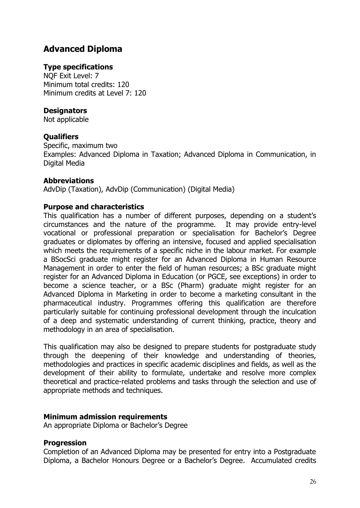# <span id="page-25-0"></span>**Advanced Diploma**

### **Type specifications**

NQF Exit Level: 7 Minimum total credits: 120 Minimum credits at Level 7: 120

### **Designators**

Not applicable

### **Qualifiers**

Specific, maximum two Examples: Advanced Diploma in Taxation; Advanced Diploma in Communication, in Digital Media

### **Abbreviations**

AdvDip (Taxation), AdvDip (Communication) (Digital Media)

### **Purpose and characteristics**

This qualification has a number of different purposes, depending on a student's circumstances and the nature of the programme. It may provide entry-level vocational or professional preparation or specialisation for Bachelor's Degree graduates or diplomates by offering an intensive, focused and applied specialisation which meets the requirements of a specific niche in the labour market. For example a BSocSci graduate might register for an Advanced Diploma in Human Resource Management in order to enter the field of human resources; a BSc graduate might register for an Advanced Diploma in Education (or PGCE, see exceptions) in order to become a science teacher, or a BSc (Pharm) graduate might register for an Advanced Diploma in Marketing in order to become a marketing consultant in the pharmaceutical industry. Programmes offering this qualification are therefore particularly suitable for continuing professional development through the inculcation of a deep and systematic understanding of current thinking, practice, theory and methodology in an area of specialisation.

This qualification may also be designed to prepare students for postgraduate study through the deepening of their knowledge and understanding of theories, methodologies and practices in specific academic disciplines and fields, as well as the development of their ability to formulate, undertake and resolve more complex theoretical and practice-related problems and tasks through the selection and use of appropriate methods and techniques.

### **Minimum admission requirements**

An appropriate Diploma or Bachelor's Degree

### **Progression**

Completion of an Advanced Diploma may be presented for entry into a Postgraduate Diploma, a Bachelor Honours Degree or a Bachelor's Degree. Accumulated credits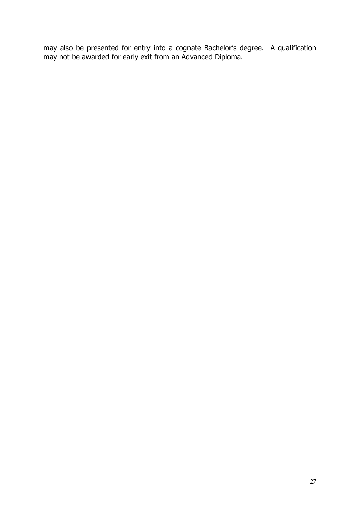may also be presented for entry into a cognate Bachelor's degree. A qualification may not be awarded for early exit from an Advanced Diploma.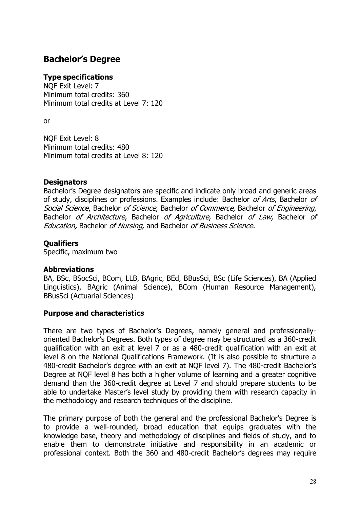# <span id="page-27-0"></span>**Bachelor's Degree**

#### **Type specifications**

NQF Exit Level: 7 Minimum total credits: 360 Minimum total credits at Level 7: 120

or

NQF Exit Level: 8 Minimum total credits: 480 Minimum total credits at Level 8: 120

#### **Designators**

Bachelor's Degree designators are specific and indicate only broad and generic areas of study, disciplines or professions. Examples include: Bachelor of Arts, Bachelor of Social Science, Bachelor of Science, Bachelor of Commerce, Bachelor of Engineering, Bachelor of Architecture, Bachelor of Agriculture, Bachelor of Law, Bachelor of Education, Bachelor of Nursing, and Bachelor of Business Science.

### **Qualifiers**

Specific, maximum two

### **Abbreviations**

BA, BSc, BSocSci, BCom, LLB, BAgric, BEd, BBusSci, BSc (Life Sciences), BA (Applied Linguistics), BAgric (Animal Science), BCom (Human Resource Management), BBusSci (Actuarial Sciences)

### **Purpose and characteristics**

There are two types of Bachelor's Degrees, namely general and professionallyoriented Bachelor's Degrees. Both types of degree may be structured as a 360-credit qualification with an exit at level 7 or as a 480-credit qualification with an exit at level 8 on the National Qualifications Framework. (It is also possible to structure a 480-credit Bachelor's degree with an exit at NQF level 7). The 480-credit Bachelor's Degree at NQF level 8 has both a higher volume of learning and a greater cognitive demand than the 360-credit degree at Level 7 and should prepare students to be able to undertake Master's level study by providing them with research capacity in the methodology and research techniques of the discipline.

The primary purpose of both the general and the professional Bachelor's Degree is to provide a well-rounded, broad education that equips graduates with the knowledge base, theory and methodology of disciplines and fields of study, and to enable them to demonstrate initiative and responsibility in an academic or professional context. Both the 360 and 480-credit Bachelor's degrees may require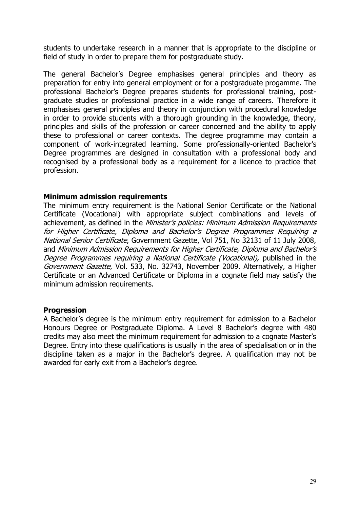students to undertake research in a manner that is appropriate to the discipline or field of study in order to prepare them for postgraduate study.

The general Bachelor's Degree emphasises general principles and theory as preparation for entry into general employment or for a postgraduate progamme. The professional Bachelor's Degree prepares students for professional training, postgraduate studies or professional practice in a wide range of careers. Therefore it emphasises general principles and theory in conjunction with procedural knowledge in order to provide students with a thorough grounding in the knowledge, theory, principles and skills of the profession or career concerned and the ability to apply these to professional or career contexts. The degree programme may contain a component of work-integrated learning. Some professionally-oriented Bachelor's Degree programmes are designed in consultation with a professional body and recognised by a professional body as a requirement for a licence to practice that profession.

#### **Minimum admission requirements**

The minimum entry requirement is the National Senior Certificate or the National Certificate (Vocational) with appropriate subject combinations and levels of achievement, as defined in the Minister's policies: Minimum Admission Requirements for Higher Certificate, Diploma and Bachelor's Degree Programmes Requiring a National Senior Certificate, Government Gazette, Vol 751, No 32131 of 11 July 2008, and Minimum Admission Requirements for Higher Certificate, Diploma and Bachelor's Degree Programmes requiring a National Certificate (Vocational), published in the Government Gazette, Vol. 533, No. 32743, November 2009. Alternatively, a Higher Certificate or an Advanced Certificate or Diploma in a cognate field may satisfy the minimum admission requirements.

#### **Progression**

A Bachelor's degree is the minimum entry requirement for admission to a Bachelor Honours Degree or Postgraduate Diploma. A Level 8 Bachelor's degree with 480 credits may also meet the minimum requirement for admission to a cognate Master's Degree. Entry into these qualifications is usually in the area of specialisation or in the discipline taken as a major in the Bachelor's degree. A qualification may not be awarded for early exit from a Bachelor's degree.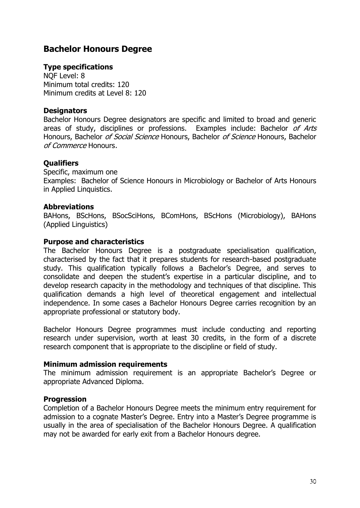## <span id="page-29-0"></span>**Bachelor Honours Degree**

### **Type specifications**

NQF Level: 8 Minimum total credits: 120 Minimum credits at Level 8: 120

#### **Designators**

Bachelor Honours Degree designators are specific and limited to broad and generic areas of study, disciplines or professions. Examples include: Bachelor of Arts Honours, Bachelor of Social Science Honours, Bachelor of Science Honours, Bachelor of Commerce Honours.

#### **Qualifiers**

Specific, maximum one Examples: Bachelor of Science Honours in Microbiology or Bachelor of Arts Honours in Applied Linquistics.

#### **Abbreviations**

BAHons, BScHons, BSocSciHons, BComHons, BScHons (Microbiology), BAHons (Applied Linguistics)

#### **Purpose and characteristics**

The Bachelor Honours Degree is a postgraduate specialisation qualification, characterised by the fact that it prepares students for research-based postgraduate study. This qualification typically follows a Bachelor's Degree, and serves to consolidate and deepen the student's expertise in a particular discipline, and to develop research capacity in the methodology and techniques of that discipline. This qualification demands a high level of theoretical engagement and intellectual independence. In some cases a Bachelor Honours Degree carries recognition by an appropriate professional or statutory body.

Bachelor Honours Degree programmes must include conducting and reporting research under supervision, worth at least 30 credits, in the form of a discrete research component that is appropriate to the discipline or field of study.

#### **Minimum admission requirements**

The minimum admission requirement is an appropriate Bachelor's Degree or appropriate Advanced Diploma.

#### **Progression**

Completion of a Bachelor Honours Degree meets the minimum entry requirement for admission to a cognate Master's Degree. Entry into a Master's Degree programme is usually in the area of specialisation of the Bachelor Honours Degree. A qualification may not be awarded for early exit from a Bachelor Honours degree.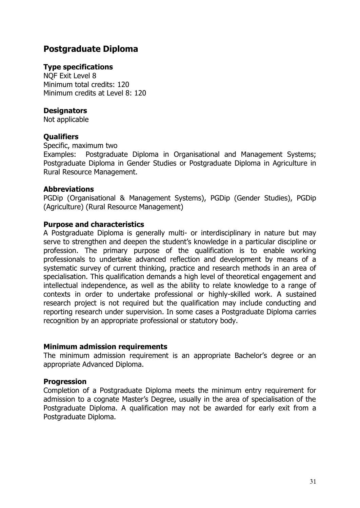# <span id="page-30-0"></span>**Postgraduate Diploma**

#### **Type specifications**

NQF Exit Level 8 Minimum total credits: 120 Minimum credits at Level 8: 120

#### **Designators**

Not applicable

#### **Qualifiers**

Specific, maximum two

Examples: Postgraduate Diploma in Organisational and Management Systems; Postgraduate Diploma in Gender Studies or Postgraduate Diploma in Agriculture in Rural Resource Management.

#### **Abbreviations**

PGDip (Organisational & Management Systems), PGDip (Gender Studies), PGDip (Agriculture) (Rural Resource Management)

#### **Purpose and characteristics**

A Postgraduate Diploma is generally multi- or interdisciplinary in nature but may serve to strengthen and deepen the student's knowledge in a particular discipline or profession. The primary purpose of the qualification is to enable working professionals to undertake advanced reflection and development by means of a systematic survey of current thinking, practice and research methods in an area of specialisation. This qualification demands a high level of theoretical engagement and intellectual independence, as well as the ability to relate knowledge to a range of contexts in order to undertake professional or highly-skilled work. A sustained research project is not required but the qualification may include conducting and reporting research under supervision. In some cases a Postgraduate Diploma carries recognition by an appropriate professional or statutory body.

#### **Minimum admission requirements**

The minimum admission requirement is an appropriate Bachelor's degree or an appropriate Advanced Diploma.

### **Progression**

Completion of a Postgraduate Diploma meets the minimum entry requirement for admission to a cognate Master's Degree, usually in the area of specialisation of the Postgraduate Diploma. A qualification may not be awarded for early exit from a Postgraduate Diploma.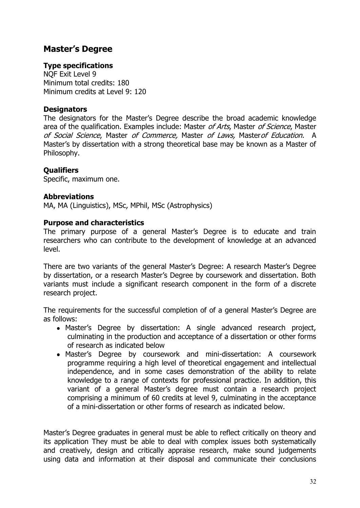### <span id="page-31-0"></span>**Master's Degree**

### **Type specifications**

NQF Exit Level 9 Minimum total credits: 180 Minimum credits at Level 9: 120

#### **Designators**

The designators for the Master's Degree describe the broad academic knowledge area of the qualification. Examples include: Master of Arts, Master of Science, Master of Social Science, Master of Commerce, Master of Laws, Master of Education. A Master's by dissertation with a strong theoretical base may be known as a Master of Philosophy.

### **Qualifiers**

Specific, maximum one.

#### **Abbreviations**

MA, MA (Linguistics), MSc, MPhil, MSc (Astrophysics)

#### **Purpose and characteristics**

The primary purpose of a general Master's Degree is to educate and train researchers who can contribute to the development of knowledge at an advanced level.

There are two variants of the general Master's Degree: A research Master's Degree by dissertation, or a research Master's Degree by coursework and dissertation. Both variants must include a significant research component in the form of a discrete research project.

The requirements for the successful completion of of a general Master's Degree are as follows:

- Master's Degree by dissertation: A single advanced research project, culminating in the production and acceptance of a dissertation or other forms of research as indicated below
- Master's Degree by coursework and mini-dissertation: A coursework programme requiring a high level of theoretical engagement and intellectual independence, and in some cases demonstration of the ability to relate knowledge to a range of contexts for professional practice. In addition, this variant of a general Master's degree must contain a research project comprising a minimum of 60 credits at level 9, culminating in the acceptance of a mini-dissertation or other forms of research as indicated below.

Master's Degree graduates in general must be able to reflect critically on theory and its application They must be able to deal with complex issues both systematically and creatively, design and critically appraise research, make sound judgements using data and information at their disposal and communicate their conclusions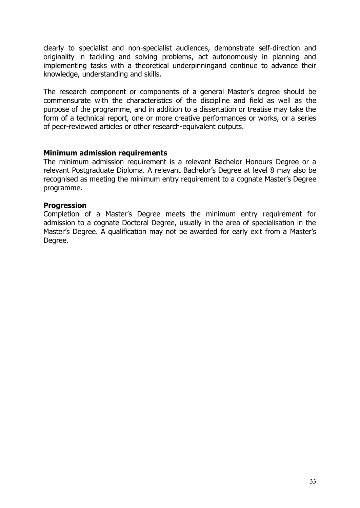clearly to specialist and non-specialist audiences, demonstrate self-direction and originality in tackling and solving problems, act autonomously in planning and implementing tasks with a theoretical underpinningand continue to advance their knowledge, understanding and skills.

The research component or components of a general Master's degree should be commensurate with the characteristics of the discipline and field as well as the purpose of the programme, and in addition to a dissertation or treatise may take the form of a technical report, one or more creative performances or works, or a series of peer-reviewed articles or other research-equivalent outputs.

#### **Minimum admission requirements**

The minimum admission requirement is a relevant Bachelor Honours Degree or a relevant Postgraduate Diploma. A relevant Bachelor's Degree at level 8 may also be recognised as meeting the minimum entry requirement to a cognate Master's Degree programme.

#### **Progression**

Completion of a Master's Degree meets the minimum entry requirement for admission to a cognate Doctoral Degree, usually in the area of specialisation in the Master's Degree. A qualification may not be awarded for early exit from a Master's Degree.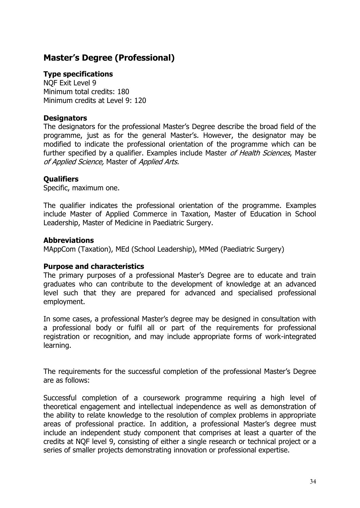# <span id="page-33-0"></span>**Master's Degree (Professional)**

#### **Type specifications**

NQF Exit Level 9 Minimum total credits: 180 Minimum credits at Level 9: 120

#### **Designators**

The designators for the professional Master's Degree describe the broad field of the programme, just as for the general Master's. However, the designator may be modified to indicate the professional orientation of the programme which can be further specified by a qualifier. Examples include Master of Health Sciences, Master of Applied Science, Master of Applied Arts.

#### **Qualifiers**

Specific, maximum one.

The qualifier indicates the professional orientation of the programme. Examples include Master of Applied Commerce in Taxation, Master of Education in School Leadership, Master of Medicine in Paediatric Surgery.

#### **Abbreviations**

MAppCom (Taxation), MEd (School Leadership), MMed (Paediatric Surgery)

#### **Purpose and characteristics**

The primary purposes of a professional Master's Degree are to educate and train graduates who can contribute to the development of knowledge at an advanced level such that they are prepared for advanced and specialised professional employment.

In some cases, a professional Master's degree may be designed in consultation with a professional body or fulfil all or part of the requirements for professional registration or recognition, and may include appropriate forms of work-integrated learning.

The requirements for the successful completion of the professional Master's Degree are as follows:

Successful completion of a coursework programme requiring a high level of theoretical engagement and intellectual independence as well as demonstration of the ability to relate knowledge to the resolution of complex problems in appropriate areas of professional practice. In addition, a professional Master's degree must include an independent study component that comprises at least a quarter of the credits at NQF level 9, consisting of either a single research or technical project or a series of smaller projects demonstrating innovation or professional expertise.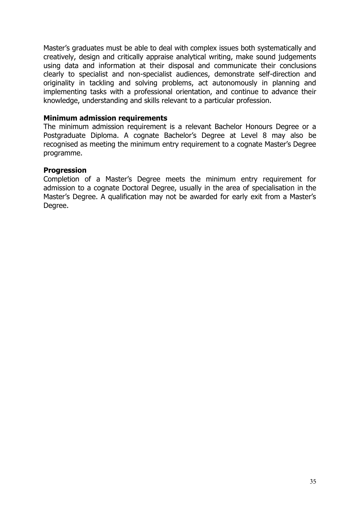Master's graduates must be able to deal with complex issues both systematically and creatively, design and critically appraise analytical writing, make sound judgements using data and information at their disposal and communicate their conclusions clearly to specialist and non-specialist audiences, demonstrate self-direction and originality in tackling and solving problems, act autonomously in planning and implementing tasks with a professional orientation, and continue to advance their knowledge, understanding and skills relevant to a particular profession.

#### **Minimum admission requirements**

The minimum admission requirement is a relevant Bachelor Honours Degree or a Postgraduate Diploma. A cognate Bachelor's Degree at Level 8 may also be recognised as meeting the minimum entry requirement to a cognate Master's Degree programme.

#### **Progression**

Completion of a Master's Degree meets the minimum entry requirement for admission to a cognate Doctoral Degree, usually in the area of specialisation in the Master's Degree. A qualification may not be awarded for early exit from a Master's Degree.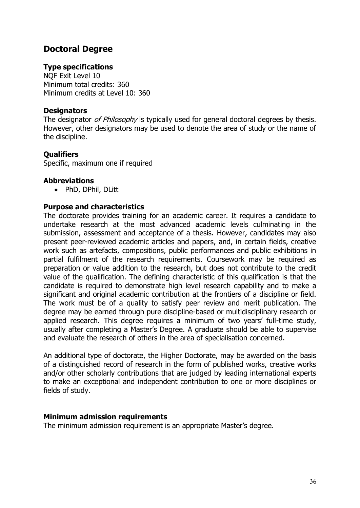## <span id="page-35-0"></span>**Doctoral Degree**

### **Type specifications**

NQF Exit Level 10 Minimum total credits: 360 Minimum credits at Level 10: 360

#### **Designators**

The designator of Philosophy is typically used for general doctoral degrees by thesis. However, other designators may be used to denote the area of study or the name of the discipline.

### **Qualifiers**

Specific, maximum one if required

#### **Abbreviations**

• PhD, DPhil, DLitt

### **Purpose and characteristics**

The doctorate provides training for an academic career. It requires a candidate to undertake research at the most advanced academic levels culminating in the submission, assessment and acceptance of a thesis. However, candidates may also present peer-reviewed academic articles and papers, and, in certain fields, creative work such as artefacts, compositions, public performances and public exhibitions in partial fulfilment of the research requirements. Coursework may be required as preparation or value addition to the research, but does not contribute to the credit value of the qualification. The defining characteristic of this qualification is that the candidate is required to demonstrate high level research capability and to make a significant and original academic contribution at the frontiers of a discipline or field. The work must be of a quality to satisfy peer review and merit publication. The degree may be earned through pure discipline-based or multidisciplinary research or applied research. This degree requires a minimum of two years' full-time study, usually after completing a Master's Degree. A graduate should be able to supervise and evaluate the research of others in the area of specialisation concerned.

An additional type of doctorate, the Higher Doctorate, may be awarded on the basis of a distinguished record of research in the form of published works, creative works and/or other scholarly contributions that are judged by leading international experts to make an exceptional and independent contribution to one or more disciplines or fields of study.

#### **Minimum admission requirements**

The minimum admission requirement is an appropriate Master's degree.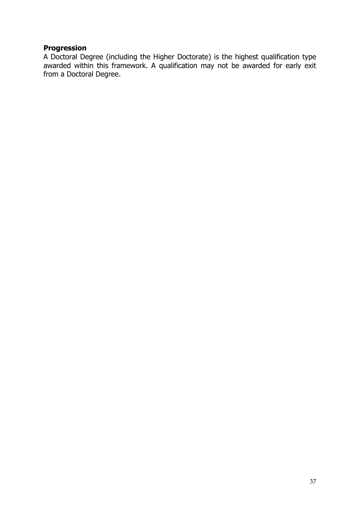### **Progression**

A Doctoral Degree (including the Higher Doctorate) is the highest qualification type awarded within this framework. A qualification may not be awarded for early exit from a Doctoral Degree.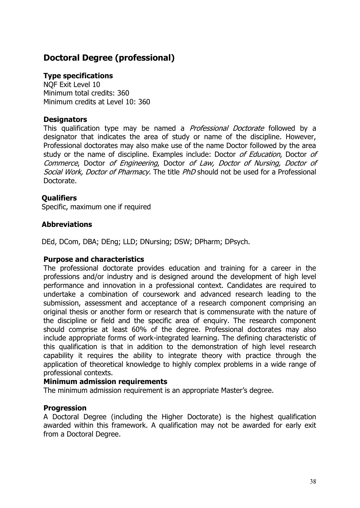# <span id="page-37-0"></span>**Doctoral Degree (professional)**

#### **Type specifications**

NQF Exit Level 10 Minimum total credits: 360 Minimum credits at Level 10: 360

#### **Designators**

This qualification type may be named a *Professional Doctorate* followed by a designator that indicates the area of study or name of the discipline. However, Professional doctorates may also make use of the name Doctor followed by the area study or the name of discipline. Examples include: Doctor of Education, Doctor of Commerce, Doctor of Engineering, Doctor of Law, Doctor of Nursing, Doctor of Social Work, Doctor of Pharmacy. The title PhD should not be used for a Professional Doctorate.

### **Qualifiers**

Specific, maximum one if required

#### **Abbreviations**

DEd, DCom, DBA; DEng; LLD; DNursing; DSW; DPharm; DPsych.

#### **Purpose and characteristics**

The professional doctorate provides education and training for a career in the professions and/or industry and is designed around the development of high level performance and innovation in a professional context. Candidates are required to undertake a combination of coursework and advanced research leading to the submission, assessment and acceptance of a research component comprising an original thesis or another form or research that is commensurate with the nature of the discipline or field and the specific area of enquiry. The research component should comprise at least 60% of the degree. Professional doctorates may also include appropriate forms of work-integrated learning. The defining characteristic of this qualification is that in addition to the demonstration of high level research capability it requires the ability to integrate theory with practice through the application of theoretical knowledge to highly complex problems in a wide range of professional contexts.

#### **Minimum admission requirements**

The minimum admission requirement is an appropriate Master's degree.

### **Progression**

A Doctoral Degree (including the Higher Doctorate) is the highest qualification awarded within this framework. A qualification may not be awarded for early exit from a Doctoral Degree.